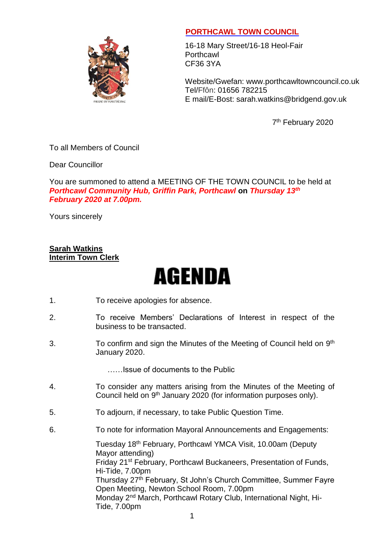

## **PORTHCAWL TOWN COUNCIL**

16-18 Mary Street/16-18 Heol-Fair **Porthcawl** CF36 3YA

Website/Gwefan: [www.porthcawltowncouncil.co.uk](http://www.porthcawltowncouncil.co.uk/) Tel/Ffôn: 01656 782215 E mail/E-Bost: sarah.watkins@bridgend.gov.uk

7<sup>th</sup> February 2020

### To all Members of Council

Dear Councillor

You are summoned to attend a MEETING OF THE TOWN COUNCIL to be held at *Porthcawl Community Hub, Griffin Park, Porthcawl* **on** *Thursday 13th February 2020 at 7.00pm.*

Yours sincerely

#### **Sarah Watkins Interim Town Clerk**

# **AGENDA**

- 1. To receive apologies for absence.
- 2. To receive Members' Declarations of Interest in respect of the business to be transacted.
- 3. To confirm and sign the Minutes of the Meeting of Council held on 9<sup>th</sup> January 2020.

……Issue of documents to the Public

- 4. To consider any matters arising from the Minutes of the Meeting of Council held on 9<sup>th</sup> January 2020 (for information purposes only).
- 5. To adjourn, if necessary, to take Public Question Time.
- 6. To note for information Mayoral Announcements and Engagements:

Tuesday 18<sup>th</sup> February, Porthcawl YMCA Visit, 10.00am (Deputy Mayor attending) Friday 21st February, Porthcawl Buckaneers, Presentation of Funds, Hi-Tide, 7.00pm Thursday 27<sup>th</sup> February, St John's Church Committee, Summer Fayre Open Meeting, Newton School Room, 7.00pm Monday 2<sup>nd</sup> March, Porthcawl Rotary Club, International Night, Hi-Tide, 7.00pm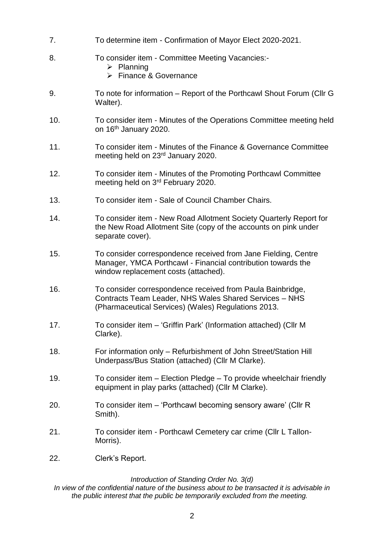- 7. To determine item Confirmation of Mayor Elect 2020-2021.
- 8. To consider item Committee Meeting Vacancies:-
	- $\triangleright$  Planning
	- $\triangleright$  Finance & Governance
- 9. To note for information Report of the Porthcawl Shout Forum (Cllr G Walter).
- 10. To consider item Minutes of the Operations Committee meeting held on 16th January 2020.
- 11. To consider item Minutes of the Finance & Governance Committee meeting held on 23rd January 2020.
- 12. To consider item Minutes of the Promoting Porthcawl Committee meeting held on 3rd February 2020.
- 13. To consider item Sale of Council Chamber Chairs.
- 14. To consider item New Road Allotment Society Quarterly Report for the New Road Allotment Site (copy of the accounts on pink under separate cover).
- 15. To consider correspondence received from Jane Fielding, Centre Manager, YMCA Porthcawl - Financial contribution towards the window replacement costs (attached).
- 16. To consider correspondence received from Paula Bainbridge, Contracts Team Leader, NHS Wales Shared Services – NHS (Pharmaceutical Services) (Wales) Regulations 2013.
- 17. To consider item 'Griffin Park' (Information attached) (Cllr M Clarke).
- 18. For information only Refurbishment of John Street/Station Hill Underpass/Bus Station (attached) (Cllr M Clarke).
- 19. To consider item Election Pledge To provide wheelchair friendly equipment in play parks (attached) (Cllr M Clarke).
- 20. To consider item 'Porthcawl becoming sensory aware' (Cllr R Smith).
- 21. To consider item Porthcawl Cemetery car crime (Cllr L Tallon-Morris).
- 22. Clerk's Report.

#### *Introduction of Standing Order No. 3(d)*

*In view of the confidential nature of the business about to be transacted it is advisable in the public interest that the public be temporarily excluded from the meeting.*